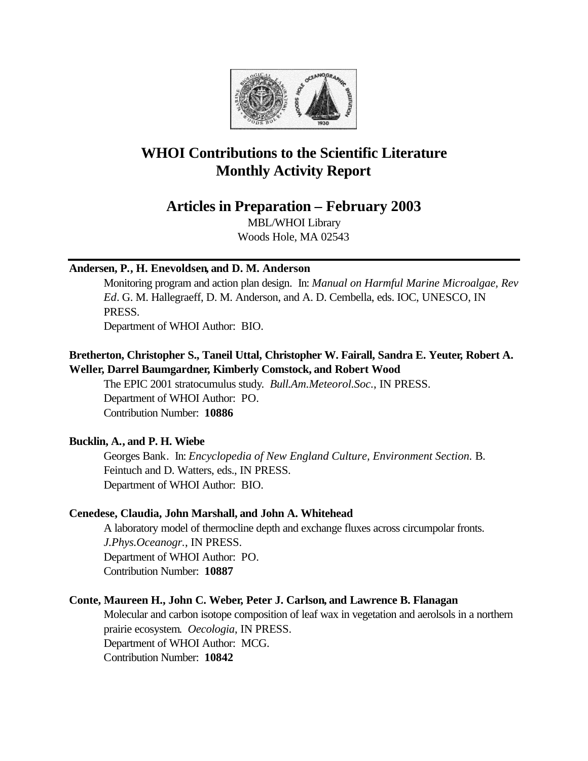

# **WHOI Contributions to the Scientific Literature Monthly Activity Report**

**Articles in Preparation – February 2003**

MBL/WHOI Library Woods Hole, MA 02543

### **Andersen, P., H. Enevoldsen, and D. M. Anderson**

Monitoring program and action plan design. In: *Manual on Harmful Marine Microalgae, Rev Ed*. G. M. Hallegraeff, D. M. Anderson, and A. D. Cembella, eds. IOC, UNESCO, IN PRESS.

Department of WHOI Author: BIO.

# **Bretherton, Christopher S., Taneil Uttal, Christopher W. Fairall, Sandra E. Yeuter, Robert A. Weller, Darrel Baumgardner, Kimberly Comstock, and Robert Wood**

The EPIC 2001 stratocumulus study. *Bull.Am.Meteorol.Soc.*, IN PRESS. Department of WHOI Author: PO. Contribution Number: **10886**

# **Bucklin, A., and P. H. Wiebe**

Georges Bank. In: *Encyclopedia of New England Culture, Environment Section.* B. Feintuch and D. Watters, eds., IN PRESS. Department of WHOI Author: BIO.

# **Cenedese, Claudia, John Marshall, and John A. Whitehead**

A laboratory model of thermocline depth and exchange fluxes across circumpolar fronts. *J.Phys.Oceanogr.*, IN PRESS. Department of WHOI Author: PO. Contribution Number: **10887**

# **Conte, Maureen H., John C. Weber, Peter J. Carlson, and Lawrence B. Flanagan**

Molecular and carbon isotope composition of leaf wax in vegetation and aerolsols in a northern prairie ecosystem. *Oecologia*, IN PRESS. Department of WHOI Author: MCG. Contribution Number: **10842**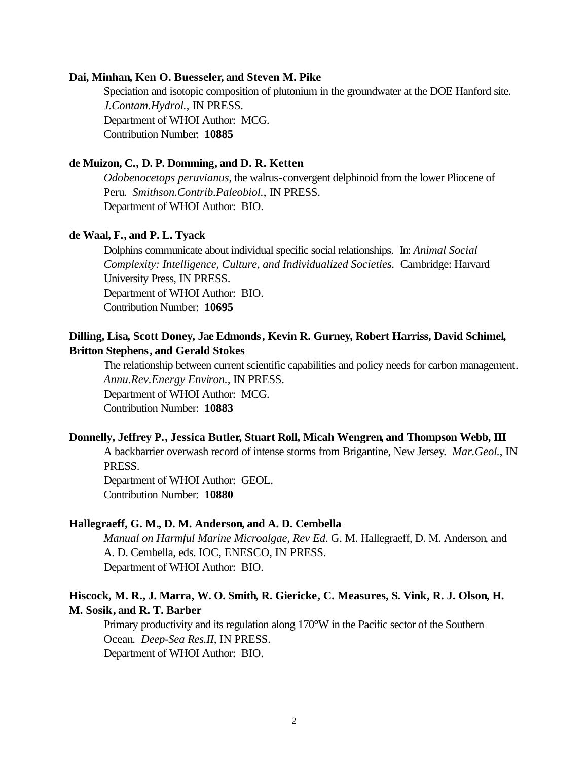#### **Dai, Minhan, Ken O. Buesseler, and Steven M. Pike**

Speciation and isotopic composition of plutonium in the groundwater at the DOE Hanford site. *J.Contam.Hydrol.*, IN PRESS. Department of WHOI Author: MCG. Contribution Number: **10885**

### **de Muizon, C., D. P. Domming, and D. R. Ketten**

*Odobenocetops peruvianus*, the walrus-convergent delphinoid from the lower Pliocene of Peru. *Smithson.Contrib.Paleobiol.*, IN PRESS. Department of WHOI Author: BIO.

#### **de Waal, F., and P. L. Tyack**

Dolphins communicate about individual specific social relationships. In: *Animal Social Complexity: Intelligence, Culture, and Individualized Societies.* Cambridge: Harvard University Press, IN PRESS. Department of WHOI Author: BIO. Contribution Number: **10695**

### **Dilling, Lisa, Scott Doney, Jae Edmonds, Kevin R. Gurney, Robert Harriss, David Schimel, Britton Stephens, and Gerald Stokes**

The relationship between current scientific capabilities and policy needs for carbon management. *Annu.Rev.Energy Environ.*, IN PRESS. Department of WHOI Author: MCG.

Contribution Number: **10883**

#### **Donnelly, Jeffrey P., Jessica Butler, Stuart Roll, Micah Wengren, and Thompson Webb, III**

A backbarrier overwash record of intense storms from Brigantine, New Jersey. *Mar.Geol.*, IN PRESS.

Department of WHOI Author: GEOL. Contribution Number: **10880**

#### **Hallegraeff, G. M., D. M. Anderson, and A. D. Cembella**

*Manual on Harmful Marine Microalgae, Rev Ed*. G. M. Hallegraeff, D. M. Anderson, and A. D. Cembella, eds. IOC, ENESCO, IN PRESS. Department of WHOI Author: BIO.

### **Hiscock, M. R., J. Marra, W. O. Smith, R. Giericke, C. Measures, S. Vink, R. J. Olson, H. M. Sosik, and R. T. Barber**

Primary productivity and its regulation along 170°W in the Pacific sector of the Southern Ocean. *Deep-Sea Res.II*, IN PRESS. Department of WHOI Author: BIO.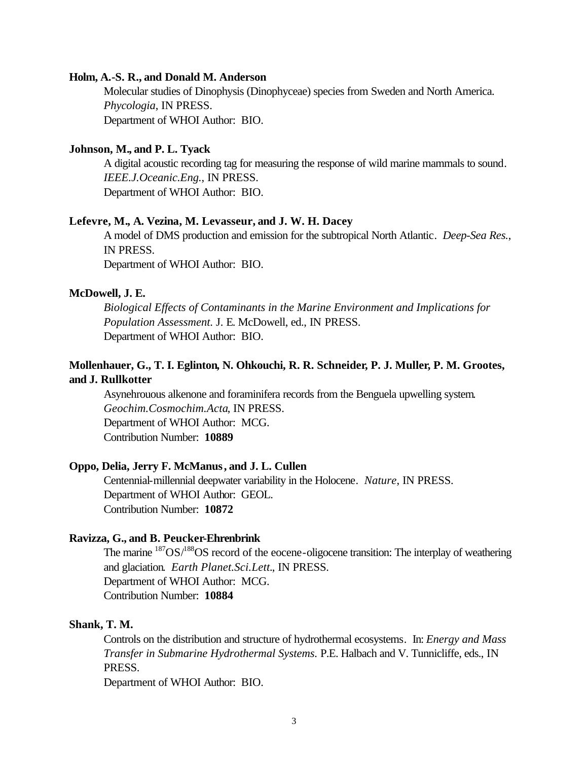#### **Holm, A.-S. R., and Donald M. Anderson**

Molecular studies of Dinophysis (Dinophyceae) species from Sweden and North America. *Phycologia*, IN PRESS. Department of WHOI Author: BIO.

#### **Johnson, M., and P. L. Tyack**

A digital acoustic recording tag for measuring the response of wild marine mammals to sound. *IEEE.J.Oceanic.Eng.*, IN PRESS. Department of WHOI Author: BIO.

#### **Lefevre, M., A. Vezina, M. Levasseur, and J. W. H. Dacey**

A model of DMS production and emission for the subtropical North Atlantic. *Deep-Sea Res.*, IN PRESS.

Department of WHOI Author: BIO.

#### **McDowell, J. E.**

*Biological Effects of Contaminants in the Marine Environment and Implications for Population Assessment.* J. E. McDowell, ed., IN PRESS. Department of WHOI Author: BIO.

# **Mollenhauer, G., T. I. Eglinton, N. Ohkouchi, R. R. Schneider, P. J. Muller, P. M. Grootes, and J. Rullkotter**

Asynehrouous alkenone and foraminifera records from the Benguela upwelling system. *Geochim.Cosmochim.Acta*, IN PRESS. Department of WHOI Author: MCG. Contribution Number: **10889**

#### **Oppo, Delia, Jerry F. McManus, and J. L. Cullen**

Centennial-millennial deepwater variability in the Holocene. *Nature*, IN PRESS. Department of WHOI Author: GEOL. Contribution Number: **10872**

#### **Ravizza, G., and B. Peucker-Ehrenbrink**

The marine  $187OS/188OS$  record of the eocene-oligocene transition: The interplay of weathering and glaciation. *Earth Planet.Sci.Lett.*, IN PRESS. Department of WHOI Author: MCG. Contribution Number: **10884**

#### **Shank, T. M.**

Controls on the distribution and structure of hydrothermal ecosystems. In: *Energy and Mass Transfer in Submarine Hydrothermal Systems.* P.E. Halbach and V. Tunnicliffe, eds., IN PRESS.

Department of WHOI Author: BIO.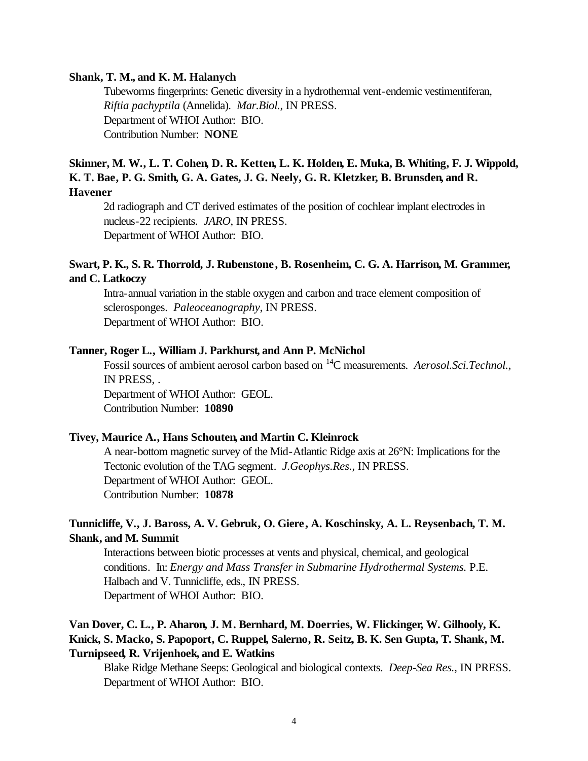#### **Shank, T. M., and K. M. Halanych**

Tubeworms fingerprints: Genetic diversity in a hydrothermal vent-endemic vestimentiferan, *Riftia pachyptila* (Annelida). *Mar.Biol.*, IN PRESS. Department of WHOI Author: BIO. Contribution Number: **NONE**

### **Skinner, M. W., L. T. Cohen, D. R. Ketten, L. K. Holden, E. Muka, B. Whiting, F. J. Wippold, K. T. Bae, P. G. Smith, G. A. Gates, J. G. Neely, G. R. Kletzker, B. Brunsden, and R. Havener**

2d radiograph and CT derived estimates of the position of cochlear implant electrodes in nucleus-22 recipients. *JARO*, IN PRESS. Department of WHOI Author: BIO.

### **Swart, P. K., S. R. Thorrold, J. Rubenstone, B. Rosenheim, C. G. A. Harrison, M. Grammer, and C. Latkoczy**

Intra-annual variation in the stable oxygen and carbon and trace element composition of sclerosponges. *Paleoceanography*, IN PRESS. Department of WHOI Author: BIO.

#### **Tanner, Roger L., William J. Parkhurst, and Ann P. McNichol**

Fossil sources of ambient aerosol carbon based on <sup>14</sup>C measurements. *Aerosol.Sci.Technol.*, IN PRESS, . Department of WHOI Author: GEOL. Contribution Number: **10890**

### **Tivey, Maurice A., Hans Schouten, and Martin C. Kleinrock**

A near-bottom magnetic survey of the Mid-Atlantic Ridge axis at 26°N: Implications for the Tectonic evolution of the TAG segment. *J.Geophys.Res.*, IN PRESS. Department of WHOI Author: GEOL. Contribution Number: **10878**

### **Tunnicliffe, V., J. Baross, A. V. Gebruk, O. Giere, A. Koschinsky, A. L. Reysenbach, T. M. Shank, and M. Summit**

Interactions between biotic processes at vents and physical, chemical, and geological conditions. In: *Energy and Mass Transfer in Submarine Hydrothermal Systems.* P.E. Halbach and V. Tunnicliffe, eds., IN PRESS. Department of WHOI Author: BIO.

# **Van Dover, C. L., P. Aharon, J. M. Bernhard, M. Doerries, W. Flickinger, W. Gilhooly, K. Knick, S. Macko, S. Papoport, C. Ruppel, Salerno, R. Seitz, B. K. Sen Gupta, T. Shank, M. Turnipseed, R. Vrijenhoek, and E. Watkins**

Blake Ridge Methane Seeps: Geological and biological contexts. *Deep-Sea Res.*, IN PRESS. Department of WHOI Author: BIO.